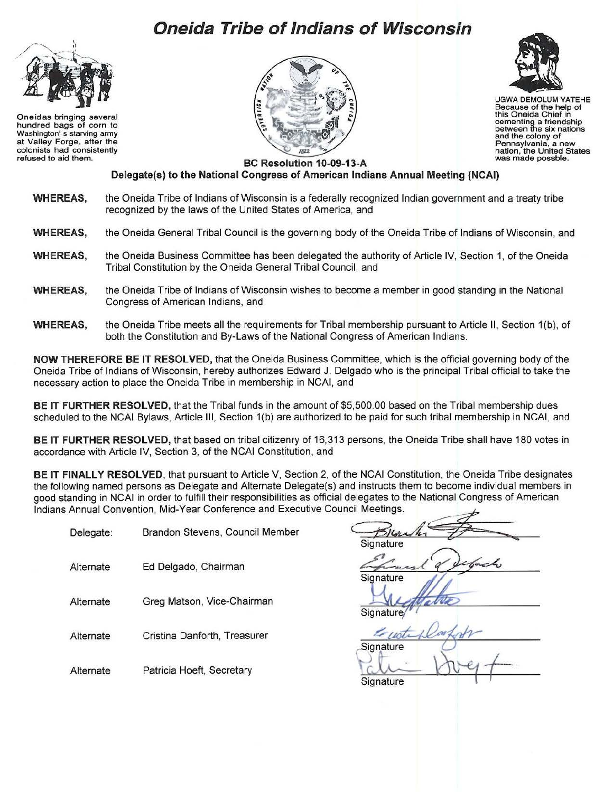## **Oneida Tribe of Indians of Wisconsin**



Oneidas bringing several hundred bags of corn to Washington' s starving army at Valley Forge, after the colonists had consistently refused to aid them.





UGWA DEMOLUM YATEHE Because of the help of<br>this Oneida Chief in this Oneida Chief in cementing a friendship between the six nations and the colony of Pennsylvania, a new nation, the United States was made possble.

BC Resolution 10-09-13-A Delegate(s) to the National Congress of American Indians Annual Meeting (NCAI)

- **WHEREAS,** the Oneida Tribe of Indians of Wisconsin is a federally recognized Indian government and a treaty tribe recognized by the laws of the United States of America, and
- **WHEREAS,**  the Oneida General Tribal Council is the governing body of the Oneida Tribe of Indians of Wisconsin, and
- **WHEREAS,**  the Oneida Business Committee has been delegated the authority of Article IV, Section 1, of the Oneida Tribal Constitution by the Oneida General Tribal Council, and
- **WHEREAS,**  the Oneida Tribe of Indians of Wisconsin wishes to become a member in good standing in the National Congress of American Indians, and
- **WHEREAS,**  the Oneida Tribe meets all the requirements for Tribal membership pursuant to Article II, Section 1(b), of both the Constitution and By-Laws of the National Congress of American Indians.

**NOW THEREFORE BE IT RESOLVED,** that the Oneida Business Committee, which is the official governing body of the Oneida Tribe of Indians of Wisconsin, hereby authorizes Edward J. Delgado who is the principal Tribal official to take the necessary action to place the Oneida Tribe in membership in NCAI, and

**BE IT FURTHER RESOLVED,** that the Tribal funds in the amount of \$5,500.00 based on the Tribal membership dues scheduled to the NCAI Bylaws, Article Ill, Section 1(b) are authorized to be paid for such tribal membership in NCAI, and

**BE IT FURTHER RESOLVED,** that based on tribal citizenry of 16,313 persons, the Oneida Tribe shall have 180 votes in accordance with Article IV, Section 3, of the NCAI Constitution, and

**BE IT FINALLY RESOLVED,** that pursuant to Article V, Section 2, of the NCAI Constitution, the Oneida Tribe designates the following named persons as Delegate and Alternate Delegate(s) and instructs them to become individual members in good standing in NCAI in order to fulfill their responsibilities as official delegates to the National Congress of American Indians Annual Convention, Mid-Year Conference and Executive Council Meetings.<br>Delegate: Brandon S Indians Annual Convenlion, Mid-Year Conference and Executive Council Meetings. on, the Oneida Tribe designates<br>become individual members in<br>tional Congress of American

- Delegate: Brandon Stevens , Council Member
- Alternate Ed Delgado, Chairman
- Alternate Greg Matson, Vice-Chairman
- 
- Alternate Patricia Hoeft, Secretary

Birank,  $\mathscr{F}$ 

Signature

**Signature** 

Alternate Cristina Danforth, Treasurer <del>Luste Darfort</del> Signature  $\frac{Z_{\mu\nu}L}{Z_{\text{Signature}}}$